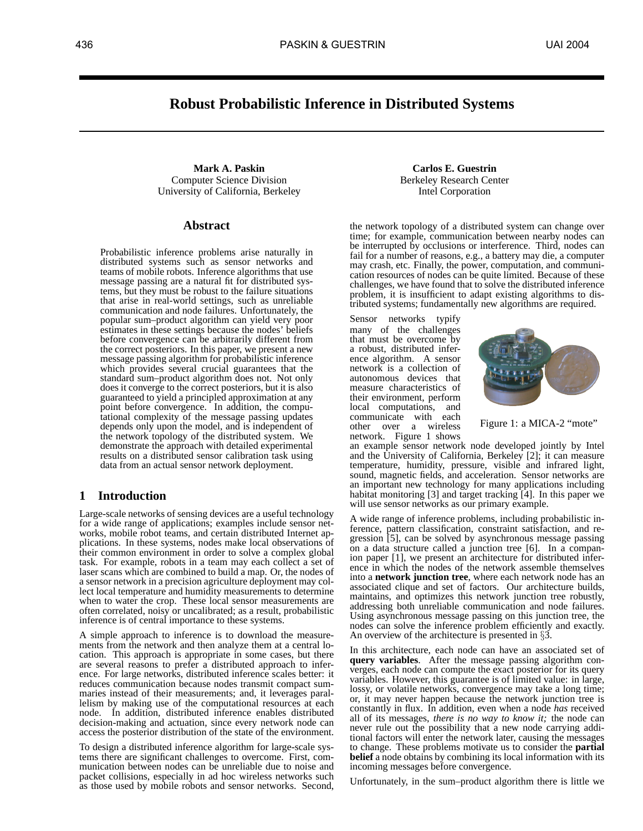# **Robust Probabilistic Inference in Distributed Systems**

**Mark A. Paskin** Computer Science Division University of California, Berkeley

# **Abstract**

Probabilistic inference problems arise naturally in distributed systems such as sensor networks and teams of mobile robots. Inference algorithms that use tems, but they must be robust to the failure situations that arise in real-world settings, such as unreliable communication and node failures. Unfortunately, the popular sum–product algorithm can yield very poor estimates in these settings because the nodes' beliefs before convergence can be arbitrarily different from the correct posteriors. In this paper, we present a new message passing algorithm for probabilistic inference which provides several crucial guarantees that the standard sum–product algorithm does not. Not only does it converge to the correct posteriors, but it is also guaranteed to yield a principled approximation at any point before convergence. In addition, the computational complexity of the message passing updates depends only upon the model, and is independent of the network topology of the distributed system. We demonstrate the approach with detailed experimental results on a distributed sensor calibration task using data from an actual sensor network deployment. message passing are a natural fit for distributed sys-

# **1 Introduction**

Large-scale networks of sensing devices are a useful technology for a wide range of applications; examples include sensor networks, mobile robot teams, and certain distributed Internet applications. In these systems, nodes make local observations of their common environment in order to solve a complex global task. For example, robots in a team may each collect a set of laser scans which are combined to build a map. Or, the nodes of a sensor network in a precision agriculture deployment may collect local temperature and humidity measurements to determine when to water the crop. These local sensor measurements are often correlated, noisy or uncalibrated; as a result, probabilistic inference is of central importance to these systems.

A simple approach to inference is to download the measurements from the network and then analyze them at a central location. This approach is appropriate in some cases, but there are several reasons to prefer a distributed approach to inference. For large networks, distributed inference scales better: it reduces communication because nodes transmit compact summaries instead of their measurements; and, it leverages parallelism by making use of the computational resources at each node. In addition, distributed inference enables distributed decision-making and actuation, since every network node can access the posterior distribution of the state of the environment.

To design a distributed inference algorithm for large-scale systems there are significant challenges to overcome. First, communication between nodes can be unreliable due to noise and packet collisions, especially in ad hoc wireless networks such as those used by mobile robots and sensor networks. Second,

**Carlos E. Guestrin** Berkeley Research Center Intel Corporation

the network topology of a distributed system can change over time; for example, communication between nearby nodes can be interrupted by occlusions or interference. Third, nodes can fail for a number of reasons, e.g., a battery may die, a computer may crash, etc. Finally, the power, computation, and communication resources of nodes can be quite limited. Because of these challenges, we have found that to solve the distributed inference problem, it is insufficient to adapt existing algorithms to distributed systems; fundamentally new algorithms are required.

Sensor networks typify many of the challenges that must be overcome by a robust, distributed inference algorithm. A sensor network is a collection of autonomous devices that measure characteristics of their environment, perform local computations, and communicate with each other over a wireless network. Figure 1 shows



Figure 1: a MICA-2 "mote"

an example sensor network node developed jointly by Intel and the University of California, Berkeley [2]; it can measure temperature, humidity, pressure, visible and infrared light, sound, magnetic fields, and acceleration. Sensor networks are an important new technology for many applications including habitat monitoring [3] and target tracking [4]. In this paper we will use sensor networks as our primary example.

A wide range of inference problems, including probabilistic inference, pattern classification, constraint satisfaction, and regression [5], can be solved by asynchronous message passing on a data structure called a junction tree [6]. In a companion paper [1], we present an architecture for distributed inference in which the nodes of the network assemble themselves into a **network junction tree**, where each network node has an associated clique and set of factors. Our architecture builds, maintains, and optimizes this network junction tree robustly, addressing both unreliable communication and node failures. Using asynchronous message passing on this junction tree, the nodes can solve the inference problem efficiently and exactly. An overview of the architecture is presented in  $\S$ 3.

In this architecture, each node can have an associated set of **query variables**. After the message passing algorithm converges, each node can compute the exact posterior for its query variables. However, this guarantee is of limited value: in large, lossy, or volatile networks, convergence may take a long time; or, it may never happen because the network junction tree is constantly in flux. In addition, even when a node *has* received all of its messages, *there is no way to know it;* the node can never rule out the possibility that a new node carrying additional factors will enter the network later, causing the messages to change. These problems motivate us to consider the **partial belief** a node obtains by combining its local information with its incoming messages before convergence.

Unfortunately, in the sum–product algorithm there is little we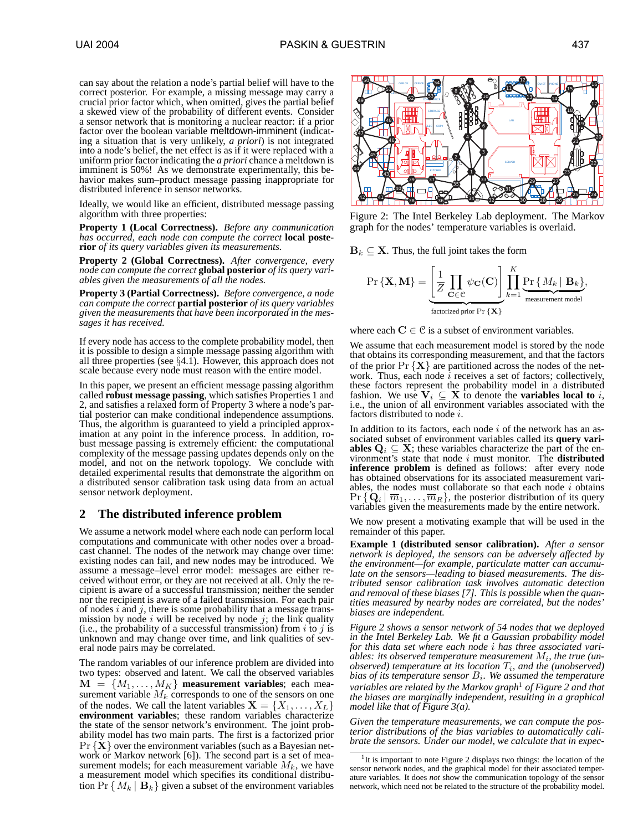can say about the relation a node's partial belief will have to the correct posterior. For example, a missing message may carry a crucial prior factor which, when omitted, gives the partial belief a skewed view of the probability of different events. Consider a sensor network that is monitoring a nuclear reactor: if a prior factor over the boolean variable meltdown-imminent (indicating a situation that is very unlikely, *a priori*) is not integrated into a node's belief, the net effect is as if it were replaced with a uniform prior factor indicating the *a priori* chance a meltdown is imminent is 50%! As we demonstrate experimentally, this behavior makes sum–product message passing inappropriate for distributed inference in sensor networks.

Ideally, we would like an efficient, distributed message passing algorithm with three properties:

**Property 1 (Local Correctness).** *Before any communication has occurred, each node can compute the correct* **local posterior** *of its query variables given its measurements.*

**Property 2 (Global Correctness).** *After convergence, every node can compute the correct* **global posterior** *of its query variables given the measurements of all the nodes.*

**Property 3 (Partial Correctness).** *Before convergence, a node can compute the correct* **partial posterior** *of its query variables given the measurements that have been incorporated in the messages it has received.*

If every node has access to the complete probability model, then it is possible to design a simple message passing algorithm with all three properties (see §4.1). However, this approach does not scale because every node must reason with the entire model.

In this paper, we present an efficient message passing algorithm called **robust message passing**, which satisfies Properties 1 and 2, and satisfies a relaxed form of Property 3 where a node's partial posterior can make conditional independence assumptions. Thus, the algorithm is guaranteed to yield a principled approximation at any point in the inference process. In addition, robust message passing is extremely efficient: the computational complexity of the message passing updates depends only on the model, and not on the network topology. We conclude with detailed experimental results that demonstrate the algorithm on a distributed sensor calibration task using data from an actual sensor network deployment.

# **2 The distributed inference problem**

We assume a network model where each node can perform local computations and communicate with other nodes over a broadcast channel. The nodes of the network may change over time: existing nodes can fail, and new nodes may be introduced. We assume a message–level error model: messages are either received without error, or they are not received at all. Only the recipient is aware of a successful transmission; neither the sender nor the recipient is aware of a failed transmission. For each pair of nodes i and j, there is some probability that a message transmission by node i will be received by node j; the link quality (i.e., the probability of a successful transmission) from  $i$  to  $j$  is unknown and may change over time, and link qualities of several node pairs may be correlated.

The random variables of our inference problem are divided into two types: observed and latent. We call the observed variables  $M = \{M_1, \ldots, M_K\}$  measurement variables; each measurement variable  $M_k$  corresponds to one of the sensors on one of the nodes. We call the latent variables  $X = \{X_1, \ldots, X_L\}$ **environment variables**; these random variables characterize the state of the sensor network's environment. The joint probability model has two main parts. The first is a factorized prior  $Pr {X}$  over the environment variables (such as a Bayesian network or Markov network [6]). The second part is a set of measurement models; for each measurement variable  $M_k$ , we have a measurement model which specifies its conditional distribution  $Pr\{M_k | \mathbf{B}_k\}$  given a subset of the environment variables



Figure 2: The Intel Berkeley Lab deployment. The Markov graph for the nodes' temperature variables is overlaid.

 $B_k \subseteq X$ . Thus, the full joint takes the form

$$
\Pr\left\{ \mathbf{X}, \mathbf{M} \right\} = \underbrace{\left[ \frac{1}{Z} \prod_{\mathbf{C} \in \mathcal{C}} \psi_{\mathbf{C}}(\mathbf{C}) \right]}_{\text{factorized prior } \Pr\left\{ \mathbf{X} \right\}} \prod_{k=1}^{K} \underbrace{\Pr\left\{ M_k \mid \mathbf{B}_k \right\}}_{\text{measurement model}},
$$

where each  $C \in \mathcal{C}$  is a subset of environment variables.

We assume that each measurement model is stored by the node that obtains its corresponding measurement, and that the factors of the prior  $Pr\{X\}$  are partitioned across the nodes of the network. Thus, each node  $i$  receives a set of factors; collectively, these factors represent the probability model in a distributed fashion. We use  $V_i \subseteq X$  to denote the **variables local to** i, i.e., the union of all environment variables associated with the factors distributed to node i.

In addition to its factors, each node  $i$  of the network has an associated subset of environment variables called its **query variables**  $Q_i \subseteq X$ ; these variables characterize the part of the environment's state that node i must monitor. The **distributed inference problem** is defined as follows: after every node has obtained observations for its associated measurement variables, the nodes must collaborate so that each node  $i$  obtains  $Pr\{\mathbf{Q}_i | \overline{m}_1, \dots, \overline{m}_R\}$ , the posterior distribution of its query variables given the measurements made by the entire network.

We now present a motivating example that will be used in the remainder of this paper.

**Example 1 (distributed sensor calibration).** *After a sensor network is deployed, the sensors can be adversely affected by the environment—for example, particulate matter can accumulate on the sensors—leading to biased measurements. The distributed sensor calibration task involves automatic detection and removal of these biases [7]. This is possible when the quantities measured by nearby nodes are correlated, but the nodes' biases are independent.*

*Figure 2 shows a sensor network of 54 nodes that we deployed in the Intel Berkeley Lab. We fit a Gaussian probability model for this data set where each node* i *has three associated vari*ables: its observed temperature measurement  $M_i$ , the true (un*observed)* temperature at its location  $T_i$ , and the (unobserved) bias of its temperature sensor  $B_i$ . We assumed the temperature *variables are related by the Markov graph*<sup>1</sup> *of Figure 2 and that the biases are marginally independent, resulting in a graphical model like that of Figure 3(a).*

*Given the temperature measurements, we can compute the posterior distributions of the bias variables to automatically calibrate the sensors. Under our model, we calculate that in expec-*

<sup>&</sup>lt;sup>1</sup>It is important to note Figure 2 displays two things: the location of the sensor network nodes, and the graphical model for their associated temperature variables. It does *not* show the communication topology of the sensor network, which need not be related to the structure of the probability model.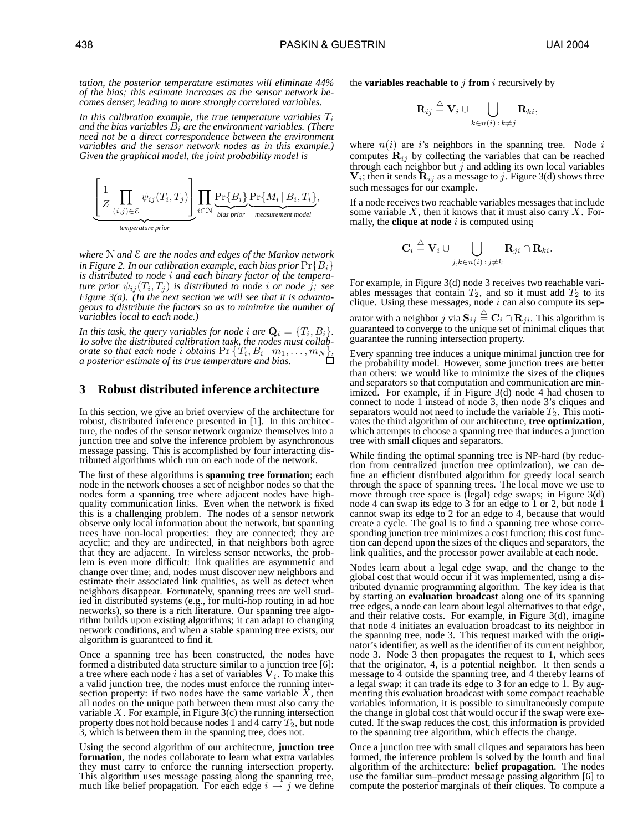*tation, the posterior temperature estimates will eliminate 44% of the bias; this estimate increases as the sensor network becomes denser, leading to more strongly correlated variables.*

In this calibration example, the true temperature variables  $T_i$ *and the bias variables*  $B_i$  *are the environment variables. (There need not be a direct correspondence between the environment variables and the sensor network nodes as in this example.) Given the graphical model, the joint probability model is*



*where* N *and* E *are the nodes and edges of the Markov network in Figure 2. In our calibration example, each bias prior*  $\Pr{B_i}$ *is distributed to node* i *and each binary factor of the temperature prior*  $\psi_{ij}(T_i,T_j)$  *is distributed to node i or node j; see Figure 3(a). (In the next section we will see that it is advantageous to distribute the factors so as to minimize the number of variables local to each node.)*

In this task, the query variables for node  $i$  are  $\mathbf{Q}_i = \{T_i, B_i\}$ . *To solve the distributed calibration task, the nodes must collaborate so that each node i obtains*  $Pr\{T_i, B_i | \overline{m}_1, \ldots, \overline{m}_N\},$ *a posterior estimate of its true temperature and bias.*

# **3 Robust distributed inference architecture**

In this section, we give an brief overview of the architecture for robust, distributed inference presented in [1]. In this architecture, the nodes of the sensor network organize themselves into a junction tree and solve the inference problem by asynchronous message passing. This is accomplished by four interacting distributed algorithms which run on each node of the network.

The first of these algorithms is **spanning tree formation**; each node in the network chooses a set of neighbor nodes so that the nodes form a spanning tree where adjacent nodes have highquality communication links. Even when the network is fixed this is a challenging problem. The nodes of a sensor network observe only local information about the network, but spanning trees have non-local properties: they are connected; they are acyclic; and they are undirected, in that neighbors both agree that they are adjacent. In wireless sensor networks, the problem is even more difficult: link qualities are asymmetric and change over time; and, nodes must discover new neighbors and estimate their associated link qualities, as well as detect when neighbors disappear. Fortunately, spanning trees are well studied in distributed systems (e.g., for multi-hop routing in ad hoc networks), so there is a rich literature. Our spanning tree algorithm builds upon existing algorithms; it can adapt to changing network conditions, and when a stable spanning tree exists, our algorithm is guaranteed to find it.

Once a spanning tree has been constructed, the nodes have formed a distributed data structure similar to a junction tree [6]: a tree where each node i has a set of variables  $V_i$ . To make this a valid junction tree, the nodes must enforce the running intersection property: if two nodes have the same variable  $X$ , then all nodes on the unique path between them must also carry the variable  $X$ . For example, in Figure 3(c) the running intersection property does not hold because nodes 1 and 4 carry  $T_2$ , but node 3, which is between them in the spanning tree, does not.

Using the second algorithm of our architecture, **junction tree formation**, the nodes collaborate to learn what extra variables they must carry to enforce the running intersection property. This algorithm uses message passing along the spanning tree, much like belief propagation. For each edge  $i \rightarrow j$  we define the **variables reachable to** j **from** i recursively by

$$
\mathbf{R}_{ij} \stackrel{\triangle}{=} \mathbf{V}_i \cup \bigcup_{k \in n(i) \,:\, k \neq j} \mathbf{R}_{ki},
$$

where  $n(i)$  are is neighbors in the spanning tree. Node i computes  $\mathbf{R}_{ij}$  by collecting the variables that can be reached through each neighbor but  $j$  and adding its own local variables  $V_i$ ; then it sends  $\mathbf{R}_{ij}$  as a message to j. Figure 3(d) shows three such messages for our example.

If a node receives two reachable variables messages that include some variable  $X$ , then it knows that it must also carry  $X$ . Formally, the **clique at node**  $i$  is computed using

$$
\mathbf{C}_i \stackrel{\triangle}{=} \mathbf{V}_i \cup \bigcup_{j,k \in n(i) \,:\, j \neq k} \mathbf{R}_{ji} \cap \mathbf{R}_{ki}.
$$

For example, in Figure 3(d) node 3 receives two reachable variables messages that contain  $T_2$ , and so it must add  $T_2$  to its clique. Using these messages, node  $i$  can also compute its sep-

arator with a neighbor  $j$  via  $\mathbf{S}_{ij} \stackrel{\triangle}{=} \mathbf{C}_i \cap \mathbf{R}_{ji}.$  This algorithm is guaranteed to converge to the unique set of minimal cliques that guarantee the running intersection property.

Every spanning tree induces a unique minimal junction tree for the probability model. However, some junction trees are better than others: we would like to minimize the sizes of the cliques and separators so that computation and communication are minimized. For example, if in Figure 3(d) node 4 had chosen to connect to node 1 instead of node 3, then node 3's cliques and separators would not need to include the variable  $T_2$ . This motivates the third algorithm of our architecture, **tree optimization**, which attempts to choose a spanning tree that induces a junction tree with small cliques and separators.

While finding the optimal spanning tree is NP-hard (by reduction from centralized junction tree optimization), we can define an efficient distributed algorithm for greedy local search through the space of spanning trees. The local move we use to move through tree space is (legal) edge swaps; in Figure 3(d) node 4 can swap its edge to 3 for an edge to 1 or 2, but node 1 cannot swap its edge to 2 for an edge to 4, because that would create a cycle. The goal is to find a spanning tree whose corresponding junction tree minimizes a cost function; this cost function can depend upon the sizes of the cliques and separators, the link qualities, and the processor power available at each node.

Nodes learn about a legal edge swap, and the change to the global cost that would occur if it was implemented, using a distributed dynamic programming algorithm. The key idea is that by starting an **evaluation broadcast** along one of its spanning tree edges, a node can learn about legal alternatives to that edge, and their relative costs. For example, in Figure 3(d), imagine that node 4 initiates an evaluation broadcast to its neighbor in the spanning tree, node 3. This request marked with the originator's identifier, as well as the identifier of its current neighbor, node 3. Node 3 then propagates the request to 1, which sees that the originator, 4, is a potential neighbor. It then sends a message to 4 outside the spanning tree, and 4 thereby learns of a legal swap: it can trade its edge to 3 for an edge to 1. By augmenting this evaluation broadcast with some compact reachable variables information, it is possible to simultaneously compute the change in global cost that would occur if the swap were executed. If the swap reduces the cost, this information is provided to the spanning tree algorithm, which effects the change.

Once a junction tree with small cliques and separators has been formed, the inference problem is solved by the fourth and final algorithm of the architecture: **belief propagation**. The nodes use the familiar sum–product message passing algorithm [6] to compute the posterior marginals of their cliques. To compute a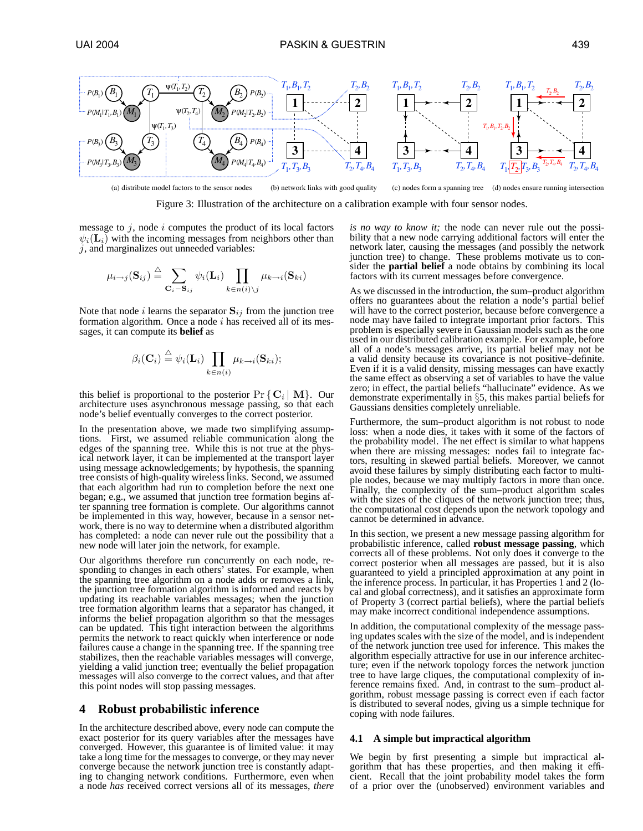



message to  $j$ , node  $i$  computes the product of its local factors  $\psi_i(\mathbf{L}_i)$  with the incoming messages from neighbors other than  $j$ , and marginalizes out unneeded variables:

$$
\mu_{i \to j}(\mathbf{S}_{ij}) \stackrel{\triangle}{=} \sum_{\mathbf{C}_i = \mathbf{S}_{ij}} \psi_i(\mathbf{L}_i) \prod_{k \in n(i) \setminus j} \mu_{k \to i}(\mathbf{S}_{ki})
$$

Note that node *i* learns the separator  $S_{ij}$  from the junction tree formation algorithm. Once a node  $i$  has received all of its messages, it can compute its **belief** as

$$
\beta_i(\mathbf{C}_i) \stackrel{\triangle}{=} \psi_i(\mathbf{L}_i) \prod_{k \in n(i)} \mu_{k \to i}(\mathbf{S}_{ki});
$$

this belief is proportional to the posterior  $Pr\{C_i | M\}$ . Our architecture uses asynchronous message passing, so that each node's belief eventually converges to the correct posterior.

In the presentation above, we made two simplifying assumptions. First, we assumed reliable communication along the edges of the spanning tree. While this is not true at the physical network layer, it can be implemented at the transport layer using message acknowledgements; by hypothesis, the spanning tree consists of high-quality wireless links. Second, we assumed that each algorithm had run to completion before the next one began; e.g., we assumed that junction tree formation begins after spanning tree formation is complete. Our algorithms cannot be implemented in this way, however, because in a sensor network, there is no way to determine when a distributed algorithm has completed: a node can never rule out the possibility that a new node will later join the network, for example.

Our algorithms therefore run concurrently on each node, responding to changes in each others' states. For example, when the spanning tree algorithm on a node adds or removes a link, the junction tree formation algorithm is informed and reacts by updating its reachable variables messages; when the junction tree formation algorithm learns that a separator has changed, it informs the belief propagation algorithm so that the messages can be updated. This tight interaction between the algorithms permits the network to react quickly when interference or node failures cause a change in the spanning tree. If the spanning tree stabilizes, then the reachable variables messages will converge, yielding a valid junction tree; eventually the belief propagation messages will also converge to the correct values, and that after this point nodes will stop passing messages.

# **4 Robust probabilistic inference**

In the architecture described above, every node can compute the exact posterior for its query variables after the messages have converged. However, this guarantee is of limited value: it may take a long time for the messages to converge, or they may never converge because the network junction tree is constantly adapting to changing network conditions. Furthermore, even when a node *has* received correct versions all of its messages, *there*

*is no way to know it;* the node can never rule out the possibility that a new node carrying additional factors will enter the network later, causing the messages (and possibly the network junction tree) to change. These problems motivate us to consider the **partial belief** a node obtains by combining its local factors with its current messages before convergence.

As we discussed in the introduction, the sum–product algorithm offers no guarantees about the relation a node's partial belief will have to the correct posterior, because before convergence a node may have failed to integrate important prior factors. This problem is especially severe in Gaussian models such as the one used in our distributed calibration example. For example, before all of a node's messages arrive, its partial belief may not be a valid density because its covariance is not positive–definite. Even if it is a valid density, missing messages can have exactly the same effect as observing a set of variables to have the value zero; in effect, the partial beliefs "hallucinate" evidence. As we demonstrate experimentally in §5, this makes partial beliefs for Gaussians densities completely unreliable.

Furthermore, the sum–product algorithm is not robust to node loss: when a node dies, it takes with it some of the factors of the probability model. The net effect is similar to what happens when there are missing messages: nodes fail to integrate factors, resulting in skewed partial beliefs. Moreover, we cannot avoid these failures by simply distributing each factor to multiple nodes, because we may multiply factors in more than once. Finally, the complexity of the sum–product algorithm scales with the sizes of the cliques of the network junction tree; thus, the computational cost depends upon the network topology and cannot be determined in advance.

In this section, we present a new message passing algorithm for probabilistic inference, called **robust message passing**, which corrects all of these problems. Not only does it converge to the correct posterior when all messages are passed, but it is also guaranteed to yield a principled approximation at any point in the inference process. In particular, it has Properties 1 and 2 (local and global correctness), and it satisfies an approximate form of Property 3 (correct partial beliefs), where the partial beliefs may make incorrect conditional independence assumptions.

In addition, the computational complexity of the message passing updates scales with the size of the model, and is independent of the network junction tree used for inference. This makes the algorithm especially attractive for use in our inference architecture; even if the network topology forces the network junction tree to have large cliques, the computational complexity of inference remains fixed. And, in contrast to the sum–product algorithm, robust message passing is correct even if each factor is distributed to several nodes, giving us a simple technique for coping with node failures.

## **4.1 A simple but impractical algorithm**

We begin by first presenting a simple but impractical algorithm that has these properties, and then making it efficient. Recall that the joint probability model takes the form of a prior over the (unobserved) environment variables and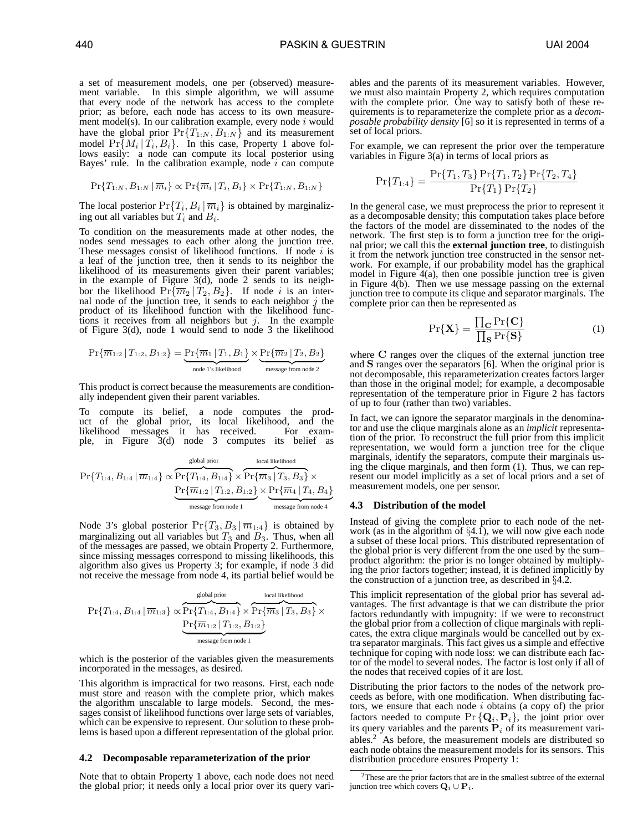a set of measurement models, one per (observed) measurement variable. In this simple algorithm, we will assume that every node of the network has access to the complete prior; as before, each node has access to its own measurement model(s). In our calibration example, every node  $i$  would have the global prior  $Pr{T_{1:N}, B_{1:N}}$  and its measurement model  $Pr{M_i | T_i, B_i}$ . In this case, Property 1 above follows easily: a node can compute its local posterior using Bayes' rule. In the calibration example, node  $i$  can compute

$$
\Pr\{T_{1:N}, B_{1:N} \mid \overline{m}_i\} \propto \Pr\{\overline{m}_i \mid T_i, B_i\} \times \Pr\{T_{1:N}, B_{1:N}\}\
$$

The local posterior  $Pr{T_i, B_i | \overline{m_i}}$  is obtained by marginalizing out all variables but  $T_i$  and  $B_i$ .

To condition on the measurements made at other nodes, the nodes send messages to each other along the junction tree. These messages consist of likelihood functions. If node  $i$  is a leaf of the junction tree, then it sends to its neighbor the likelihood of its measurements given their parent variables; in the example of Figure 3(d), node 2 sends to its neighbor the likelihood  $Pr{\overline{m_2 | T_2, B_2}}$ . If node *i* is an internal node of the junction tree, it sends to each neighbor  $j$  the product of its likelihood function with the likelihood functions it receives from all neighbors but  $j$ . In the example of Figure 3(d), node 1 would send to node 3 the likelihood

$$
\Pr\{\overline{m}_{1:2} | T_{1:2}, B_{1:2}\} = \underbrace{\Pr\{\overline{m}_1 | T_1, B_1\}}_{\text{node 1's likelihood}} \times \underbrace{\Pr\{\overline{m}_2 | T_2, B_2\}}_{\text{message from node 2}}
$$

This product is correct because the measurements are conditionally independent given their parent variables.

To compute its belief, a node computes the product of the global prior, its local likelihood, and the likelihood messages it has received. For example, in Figure 3(d) node 3 computes its belief as

$$
\Pr\{T_{1:4}, B_{1:4} \mid \overline{m}_{1:4}\} \propto \underbrace{\Pr\{T_{1:4}, B_{1:4}\} \times \Pr\{\overline{m}_3 \mid T_3, B_3\}}_{\text{message from node 1}} \times \underbrace{\Pr\{\overline{m}_1, B_{1:2}\} \times \Pr\{\overline{m}_4 \mid T_4, B_4\}}_{\text{message from node 4}}
$$

Node 3's global posterior  $Pr{T_3, B_3 | \overline{m}_{1:4}}$  is obtained by marginalizing out all variables but  $T_3$  and  $B_3$ . Thus, when all of the messages are passed, we obtain Property 2. Furthermore, since missing messages correspond to missing likelihoods, this algorithm also gives us Property 3; for example, if node 3 did not receive the message from node 4, its partial belief would be

$$
\Pr\{T_{1:4}, B_{1:4} \mid \overline{m}_{1:3}\} \propto \overbrace{\Pr\{T_{1:4}, B_{1:4}\}^{\text{global prior}} \times \overbrace{\Pr\{\overline{m}_3 \mid T_3, B_3\}}^{\text{local likelihood}} \times \underbrace{\Pr\{\overline{m}_{1:2} \mid T_{1:2}, B_{1:2}\}}_{\text{message from node 1}}
$$

which is the posterior of the variables given the measurements incorporated in the messages, as desired.

This algorithm is impractical for two reasons. First, each node must store and reason with the complete prior, which makes the algorithm unscalable to large models. Second, the messages consist of likelihood functions over large sets of variables, which can be expensive to represent. Our solution to these problems is based upon a different representation of the global prior.

#### **4.2 Decomposable reparameterization of the prior**

Note that to obtain Property 1 above, each node does not need the global prior; it needs only a local prior over its query vari-

ables and the parents of its measurement variables. However, we must also maintain Property 2, which requires computation with the complete prior. One way to satisfy both of these requirements is to reparameterize the complete prior as a *decomposable probability density* [6] so it is represented in terms of a set of local priors.

For example, we can represent the prior over the temperature variables in Figure  $3(a)$  in terms of local priors as

$$
Pr{T_{1:4}} = \frac{Pr{T_1, T_3} Pr{T_1, T_2} Pr{T_2, T_4}}{Pr{T_1} Pr{T_2}}
$$

In the general case, we must preprocess the prior to represent it as a decomposable density; this computation takes place before the factors of the model are disseminated to the nodes of the network. The first step is to form a junction tree for the original prior; we call this the **external junction tree**, to distinguish it from the network junction tree constructed in the sensor network. For example, if our probability model has the graphical model in Figure 4(a), then one possible junction tree is given in Figure 4(b). Then we use message passing on the external junction tree to compute its clique and separator marginals. The complete prior can then be represented as

$$
\Pr\{\mathbf{X}\} = \frac{\prod_{\mathbf{C}} \Pr\{\mathbf{C}\}}{\prod_{\mathbf{S}} \Pr\{\mathbf{S}\}}\tag{1}
$$

where C ranges over the cliques of the external junction tree and S ranges over the separators [6]. When the original prior is not decomposable, this reparameterization creates factors larger than those in the original model; for example, a decomposable representation of the temperature prior in Figure 2 has factors of up to four (rather than two) variables.

In fact, we can ignore the separator marginals in the denominator and use the clique marginals alone as an *implicit* representation of the prior. To reconstruct the full prior from this implicit representation, we would form a junction tree for the clique marginals, identify the separators, compute their marginals using the clique marginals, and then form (1). Thus, we can represent our model implicitly as a set of local priors and a set of measurement models, one per sensor.

#### **4.3 Distribution of the model**

Instead of giving the complete prior to each node of the network (as in the algorithm of  $\S 4.1$ ), we will now give each node a subset of these local priors. This distributed representation of the global prior is very different from the one used by the sum– product algorithm: the prior is no longer obtained by multiplying the prior factors together; instead, it is defined implicitly by the construction of a junction tree, as described in §4.2.

This implicit representation of the global prior has several advantages. The first advantage is that we can distribute the prior factors redundantly with impugnity: if we were to reconstruct the global prior from a collection of clique marginals with replicates, the extra clique marginals would be cancelled out by extra separator marginals. This fact gives us a simple and effective technique for coping with node loss: we can distribute each factor of the model to several nodes. The factor is lost only if all of the nodes that received copies of it are lost.

Distributing the prior factors to the nodes of the network proceeds as before, with one modification. When distributing factors, we ensure that each node  $i$  obtains (a copy of) the prior factors needed to compute  $\Pr\left\{ \mathbf{Q}_{i},\mathbf{P}_{i}\right\}$ , the joint prior over its query variables and the parents  $P_i$  of its measurement variables.<sup>2</sup> As before, the measurement models are distributed so each node obtains the measurement models for its sensors. This distribution procedure ensures Property 1:

<sup>2</sup>These are the prior factors that are in the smallest subtree of the external junction tree which covers  $\mathbf{Q}_i \cup \mathbf{P}_i$ .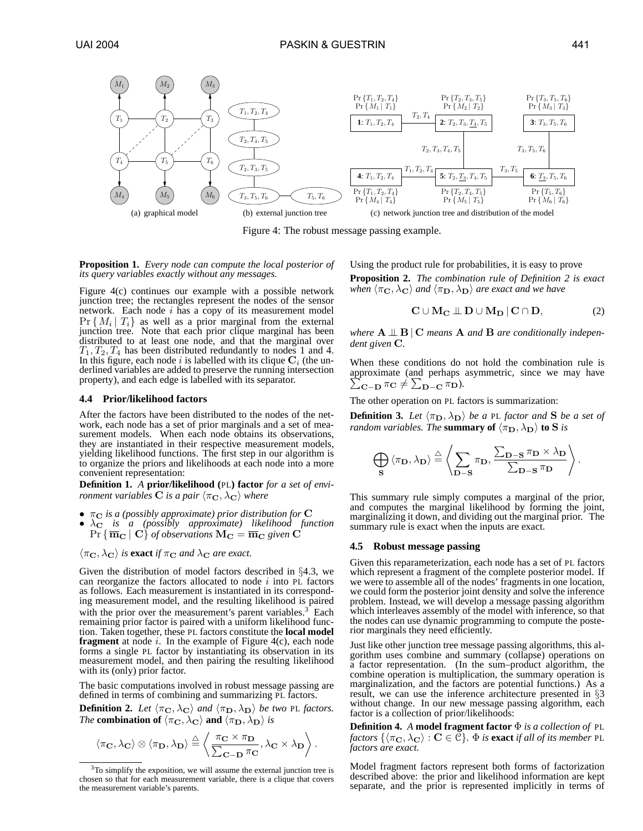

Figure 4: The robust message passing example.

**Proposition 1.** *Every node can compute the local posterior of its query variables exactly without any messages.*

Figure 4(c) continues our example with a possible network junction tree; the rectangles represent the nodes of the sensor network. Each node  $i$  has a copy of its measurement model  $Pr\{M_i | T_i\}$  as well as a prior marginal from the external junction tree. Note that each prior clique marginal has been distributed to at least one node, and that the marginal over  $T_1, T_2, T_4$  has been distributed redundantly to nodes 1 and 4. In this figure, each node i is labelled with its clique  $C_i$  (the underlined variables are added to preserve the running intersection property), and each edge is labelled with its separator.

#### **4.4 Prior/likelihood factors**

After the factors have been distributed to the nodes of the network, each node has a set of prior marginals and a set of measurement models. When each node obtains its observations, they are instantiated in their respective measurement models, yielding likelihood functions. The first step in our algorithm is to organize the priors and likelihoods at each node into a more convenient representation:

**Definition 1.** *A* **prior/likelihood (**PL**) factor** *for a set of environment variables* **C** *is a pair*  $\langle \pi_{\mathbf{C}}, \lambda_{\mathbf{C}} \rangle$  *where* 

- $π$ <sub>C</sub> is a (possibly approximate) prior distribution for **C**
- $\lambda_{\mathbf{C}}$  *is a (possibly approximate) likelihood function*  $\Pr \left\{ \overline{\mathbf{m}}_{\mathbf{C}} \,|\: \mathbf{C} \right\}$  of observations  $\mathbf{M_C} = \overline{\mathbf{m}}_{\mathbf{C}}$  given  $\mathbf{C}$

 $\langle \pi_{\mathbf{C}}, \lambda_{\mathbf{C}} \rangle$  *is* **exact** *if*  $\pi_{\mathbf{C}}$  *and*  $\lambda_{\mathbf{C}}$  *are exact.* 

Given the distribution of model factors described in §4.3, we can reorganize the factors allocated to node  $i$  into PL factors as follows. Each measurement is instantiated in its corresponding measurement model, and the resulting likelihood is paired with the prior over the measurement's parent variables. $3$  Each remaining prior factor is paired with a uniform likelihood function. Taken together, these PL factors constitute the **local model fragment** at node  $i$ . In the example of Figure 4(c), each node forms a single PL factor by instantiating its observation in its measurement model, and then pairing the resulting likelihood with its (only) prior factor.

The basic computations involved in robust message passing are defined in terms of combining and summarizing PL factors.

**Definition 2.** Let  $\langle \pi_{\mathbf{C}}, \lambda_{\mathbf{C}} \rangle$  and  $\langle \pi_{\mathbf{D}}, \lambda_{\mathbf{D}} \rangle$  be two PL factors. *The* **combination of**  $\langle \pi_{\mathbf{C}}, \lambda_{\mathbf{C}} \rangle$  **and**  $\langle \pi_{\mathbf{D}}, \lambda_{\mathbf{D}} \rangle$  *is* 

$$
\langle \pi_{\mathbf{C}}, \lambda_{\mathbf{C}} \rangle \otimes \langle \pi_{\mathbf{D}}, \lambda_{\mathbf{D}} \rangle \stackrel{\triangle}{=} \left\langle \frac{\pi_{\mathbf{C}} \times \pi_{\mathbf{D}}}{\sum_{\mathbf{C}-\mathbf{D}} \pi_{\mathbf{C}}}, \lambda_{\mathbf{C}} \times \lambda_{\mathbf{D}} \right\rangle.
$$

 $3$ To simplify the exposition, we will assume the external junction tree is chosen so that for each measurement variable, there is a clique that covers the measurement variable's parents.

Using the product rule for probabilities, it is easy to prove **Proposition 2.** *The combination rule of Definition 2 is exact when*  $\langle \pi_{\mathbf{C}}, \lambda_{\mathbf{C}} \rangle$  *and*  $\langle \pi_{\mathbf{D}}, \lambda_{\mathbf{D}} \rangle$  *are exact and we have* 

$$
C \cup M_C \perp\!\!\!\perp D \cup M_D | C \cap D, \tag{2}
$$

*where*  $A \perp B \mid C$  *means*  $A$  *and*  $B$  *are conditionally independent given* C*.*

When these conditions do not hold the combination rule is approximate (and perhaps asymmetric, since we may have  $\sum_{\mathbf{C}-\mathbf{D}} \pi_{\mathbf{C}} \neq \sum_{\mathbf{D}-\mathbf{C}} \pi_{\mathbf{D}}.$ 

The other operation on PL factors is summarization:

**Definition 3.** Let  $\langle \pi_{\mathbf{D}}, \lambda_{\mathbf{D}} \rangle$  be a PL factor and **S** be a set of *random variables. The* **summary of**  $\langle \pi_{\mathbf{D}}, \lambda_{\mathbf{D}} \rangle$  to **S** *is* 

$$
\bigoplus_{\mathbf{S}} \langle \pi_{\mathbf{D}}, \lambda_{\mathbf{D}} \rangle \stackrel{\triangle}{=} \left\langle \sum_{\mathbf{D-S}} \pi_{\mathbf{D}}, \frac{\sum_{\mathbf{D-S}} \pi_{\mathbf{D}} \times \lambda_{\mathbf{D}}}{\sum_{\mathbf{D-S}} \pi_{\mathbf{D}}} \right\rangle.
$$

This summary rule simply computes a marginal of the prior, and computes the marginal likelihood by forming the joint, marginalizing it down, and dividing out the marginal prior. The summary rule is exact when the inputs are exact.

## **4.5 Robust message passing**

Given this reparameterization, each node has a set of PL factors which represent a fragment of the complete posterior model. If we were to assemble all of the nodes' fragments in one location, we could form the posterior joint density and solve the inference problem. Instead, we will develop a message passing algorithm which interleaves assembly of the model with inference, so that the nodes can use dynamic programming to compute the posterior marginals they need efficiently.

Just like other junction tree message passing algorithms, this algorithm uses combine and summary (collapse) operations on a factor representation. (In the sum–product algorithm, the combine operation is multiplication, the summary operation is marginalization, and the factors are potential functions.) As a result, we can use the inference architecture presented in §3 without change. In our new message passing algorithm, each factor is a collection of prior/likelihoods:

**Definition 4.** *A* **model fragment factor** Φ *is a collection of* PL *factors*  $\{\langle \pi_{\mathbf{C}}, \lambda_{\mathbf{C}} \rangle : \mathbf{C} \in \mathbb{C} \}$ .  $\Phi$  *is* **exact** *if all of its member* PL *factors are exact.*

Model fragment factors represent both forms of factorization described above: the prior and likelihood information are kept separate, and the prior is represented implicitly in terms of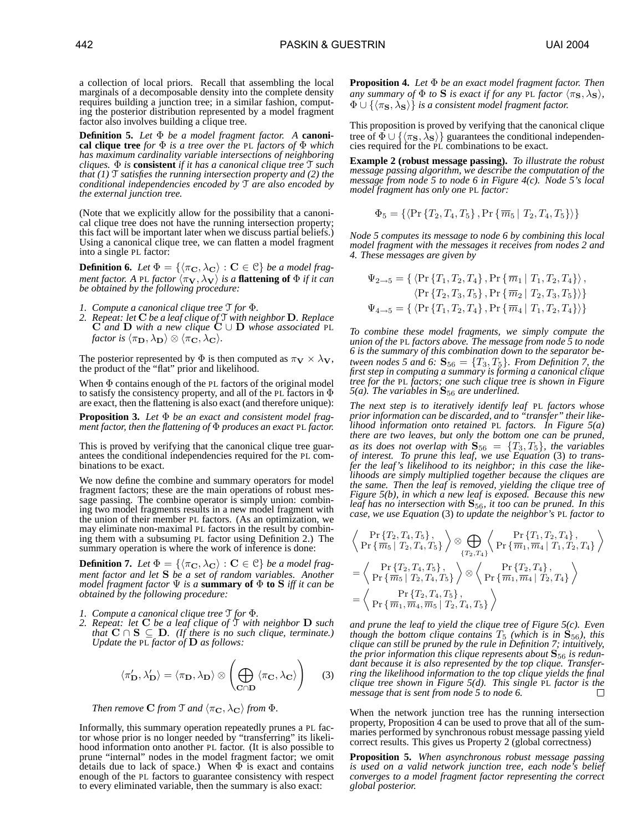**Definition 5.** *Let* Φ *be a model fragment factor. A* **canonical clique tree** *for* Φ *is a tree over the* PL *factors of* Φ *which has maximum cardinality variable intersections of neighboring cliques.* Φ *is* **consistent** *if it has a canonical clique tree* T *such that (1)* T *satisfies the running intersection property and (2) the conditional independencies encoded by* T *are also encoded by the external junction tree.*

(Note that we explicitly allow for the possibility that a canonical clique tree does not have the running intersection property; this fact will be important later when we discuss partial beliefs.) Using a canonical clique tree, we can flatten a model fragment into a single PL factor:

**Definition 6.** Let  $\Phi = \{\langle \pi_{\mathbf{C}}, \lambda_{\mathbf{C}} \rangle : \mathbf{C} \in \mathbb{C} \}$  *be a model fragment factor.* A PL *factor*  $\langle \pi_V, \lambda_V \rangle$  *is a* **flattening of**  $\Phi$  *if it can be obtained by the following procedure:*

*1. Compute a canonical clique tree* T *for* Φ*.*

factor also involves building a clique tree.

*2. Repeat: let* C *be a leaf clique of* T *with neighbor* D*. Replace* C *and* D *with a new clique* C ∪ D *whose associated* PL *factor is*  $\langle \pi_{\mathbf{D}}, \lambda_{\mathbf{D}} \rangle \otimes \langle \pi_{\mathbf{C}}, \lambda_{\mathbf{C}} \rangle$ .

The posterior represented by  $\Phi$  is then computed as  $\pi_{\mathbf{V}} \times \lambda_{\mathbf{V}}$ , the product of the "flat" prior and likelihood.

When Φ contains enough of the PL factors of the original model to satisfy the consistency property, and all of the PL factors in  $\Phi$ are exact, then the flattening is also exact (and therefore unique):

**Proposition 3.** *Let* Φ *be an exact and consistent model fragment factor, then the flattening of* Φ *produces an exact* PL *factor.*

This is proved by verifying that the canonical clique tree guarantees the conditional independencies required for the PL combinations to be exact.

We now define the combine and summary operators for model fragment factors; these are the main operations of robust message passing. The combine operator is simply union: combining two model fragments results in a new model fragment with the union of their member PL factors. (As an optimization, we may eliminate non-maximal PL factors in the result by combining them with a subsuming PL factor using Definition 2.) The summary operation is where the work of inference is done:

**Definition 7.** Let  $\Phi = \{\langle \pi_{\mathbf{C}}, \lambda_{\mathbf{C}} \rangle : \mathbf{C} \in \mathbb{C} \}$  *be a model fragment factor and let* S *be a set of random variables. Another model fragment factor*  $\Psi$  *is a* **summary of**  $\Phi$  **to**  $S$  *iff it can be obtained by the following procedure:*

*1. Compute a canonical clique tree* T *for* Φ*.*

*2. Repeat: let* C *be a leaf clique of* T *with neighbor* D *such that*  $C \cap S$  ⊆ **D**. (*If there is no such clique, terminate.*) *Update the* PL *factor of* D *as follows:*

$$
\langle \pi'_{\mathbf{D}}, \lambda'_{\mathbf{D}} \rangle = \langle \pi_{\mathbf{D}}, \lambda_{\mathbf{D}} \rangle \otimes \left( \bigoplus_{\mathbf{C} \cap \mathbf{D}} \langle \pi_{\mathbf{C}}, \lambda_{\mathbf{C}} \rangle \right) \tag{3}
$$

*Then remove* **C** *from*  $\mathcal{T}$  *and*  $\langle \pi_{\mathbf{C}}, \lambda_{\mathbf{C}} \rangle$  *from*  $\Phi$ *.* 

Informally, this summary operation repeatedly prunes a PL factor whose prior is no longer needed by "transferring" its likelihood information onto another PL factor. (It is also possible to prune "internal" nodes in the model fragment factor; we omit details due to lack of space.) When  $\Phi$  is exact and contains enough of the PL factors to guarantee consistency with respect to every eliminated variable, then the summary is also exact:

**Proposition 4.** *Let* Φ *be an exact model fragment factor. Then any summary of*  $\Phi$  *to* **S** *is exact if for any* PL *factor*  $\langle \pi_{\mathbf{S}}, \lambda_{\mathbf{S}} \rangle$ *,*  $\Phi \cup {\langle \langle \pi_{\mathbf{S}}, \lambda_{\mathbf{S}} \rangle \}$  *is a consistent model fragment factor.* 

This proposition is proved by verifying that the canonical clique tree of  $\Phi \cup {\langle \pi_{\mathbf{S}}, \lambda_{\mathbf{S}} \rangle}$  guarantees the conditional independencies required for the PL combinations to be exact.

**Example 2 (robust message passing).** *To illustrate the robust message passing algorithm, we describe the computation of the message from node 5 to node 6 in Figure 4(c). Node 5's local model fragment has only one* PL *factor:*

$$
\Phi_5 = \{ \langle \Pr \{ T_2, T_4, T_5 \}, \Pr \{ \overline{m}_5 | T_2, T_4, T_5 \} \rangle \}
$$

*Node 5 computes its message to node 6 by combining this local model fragment with the messages it receives from nodes 2 and 4. These messages are given by*

$$
\Psi_{2\to 5} = \{ \langle \Pr \{T_1, T_2, T_4\}, \Pr \{\overline{m}_1 | T_1, T_2, T_4\} \rangle, \n\langle \Pr \{T_2, T_3, T_5\}, \Pr \{\overline{m}_2 | T_2, T_3, T_5\} \rangle \}
$$
\n
$$
\Psi_{4\to 5} = \{ \langle \Pr \{T_1, T_2, T_4\}, \Pr \{\overline{m}_4 | T_1, T_2, T_4\} \rangle \}
$$

*To combine these model fragments, we simply compute the union of the* PL *factors above. The message from node 5 to node 6 is the summary of this combination down to the separator between nodes 5 and 6:*  $\mathbf{S}_{56} = \{T_3, T_5\}$ *. From Definition 7, the first step in computing a summary is forming a canonical clique tree for the* PL *factors; one such clique tree is shown in Figure 5(a). The variables in*  $S_{56}$  *are underlined.* 

*The next step is to iteratively identify leaf* PL *factors whose prior information can be discarded, and to "transfer" their likelihood information onto retained* PL *factors. In Figure 5(a) there are two leaves, but only the bottom one can be pruned, as its does not overlap with*  $S_{56} = \{T_3, T_5\}$ *, the variables of interest. To prune this leaf, we use Equation* (3) *to transfer the leaf's likelihood to its neighbor; in this case the likelihoods are simply multiplied together because the cliques are the same. Then the leaf is removed, yielding the clique tree of Figure 5(b), in which a new leaf is exposed. Because this new leaf has no intersection with*  $S_{56}$ *, it too can be pruned. In this case, we use Equation* (3) *to update the neighbor's* PL *factor to*

$$
\left\langle \Pr\left\{T_2, T_4, T_5\right\}, \left\langle \Pr\left\{ \overline{m}_5 | T_2, T_4, T_5 \right\} \right\rangle \otimes \bigoplus_{\{T_2, T_4\}} \left\langle \Pr\left\{ \overline{m}_1, \overline{m}_4 | T_1, T_2, T_4 \right\} \right\rangle \\ = \left\langle \Pr\left\{T_2, T_4, T_5\right\}, \left\langle \Pr\left\{ \overline{m}_1, \overline{m}_4 | T_1, T_2, T_4 \right\} \right\rangle \right. \\ = \left\langle \Pr\left\{ \overline{m}_5 | T_2, T_4, T_5 \right\} \right\rangle \otimes \left\langle \Pr\left\{ \overline{m}_1, \overline{m}_4 | T_2, T_4 \right\} \right\rangle \\ = \left\langle \Pr\left\{T_1, \overline{m}_1, \overline{m}_4, \overline{m}_5 | T_2, T_4, T_5 \right\} \right\rangle
$$

*and prune the leaf to yield the clique tree of Figure 5(c). Even though the bottom clique contains*  $T_5$  *(which is in*  $S_{56}$ *), this clique can still be pruned by the rule in Definition 7; intuitively, the prior information this clique represents about*  $S_{56}$  *is redundant because it is also represented by the top clique. Transferring the likelihood information to the top clique yields the final clique tree shown in Figure 5(d). This single* PL *factor is the message that is sent from node 5 to node 6.*

When the network junction tree has the running intersection property, Proposition 4 can be used to prove that all of the summaries performed by synchronous robust message passing yield correct results. This gives us Property 2 (global correctness)

**Proposition 5.** *When asynchronous robust message passing is used on a valid network junction tree, each node's belief converges to a model fragment factor representing the correct global posterior.*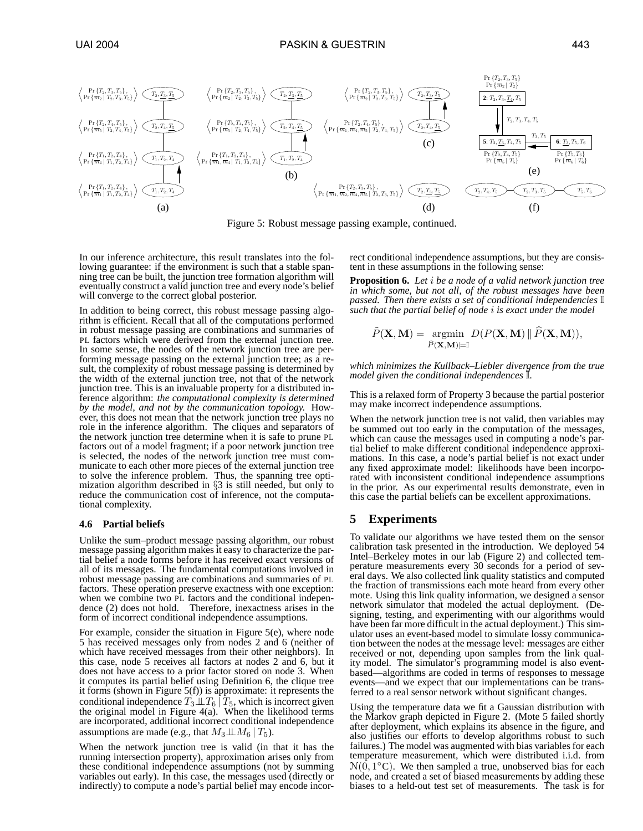

Figure 5: Robust message passing example, continued.

In our inference architecture, this result translates into the following guarantee: if the environment is such that a stable spanning tree can be built, the junction tree formation algorithm will eventually construct a valid junction tree and every node's belief will converge to the correct global posterior.

In addition to being correct, this robust message passing algorithm is efficient. Recall that all of the computations performed in robust message passing are combinations and summaries of PL factors which were derived from the external junction tree. In some sense, the nodes of the network junction tree are performing message passing on the external junction tree; as a result, the complexity of robust message passing is determined by the width of the external junction tree, not that of the network junction tree. This is an invaluable property for a distributed inference algorithm: *the computational complexity is determined by the model, and not by the communication topology.* However, this does not mean that the network junction tree plays no role in the inference algorithm. The cliques and separators of the network junction tree determine when it is safe to prune PL factors out of a model fragment; if a poor network junction tree is selected, the nodes of the network junction tree must communicate to each other more pieces of the external junction tree to solve the inference problem. Thus, the spanning tree optimization algorithm described in §3 is still needed, but only to reduce the communication cost of inference, not the computational complexity.

## **4.6 Partial beliefs**

Unlike the sum–product message passing algorithm, our robust message passing algorithm makes it easy to characterize the partial belief a node forms before it has received exact versions of all of its messages. The fundamental computations involved in robust message passing are combinations and summaries of PL factors. These operation preserve exactness with one exception: when we combine two PL factors and the conditional independence (2) does not hold. Therefore, inexactness arises in the form of incorrect conditional independence assumptions.

For example, consider the situation in Figure 5(e), where node 5 has received messages only from nodes 2 and 6 (neither of which have received messages from their other neighbors). In this case, node 5 receives all factors at nodes 2 and 6, but it does not have access to a prior factor stored on node 3. When it computes its partial belief using Definition 6, the clique tree it forms (shown in Figure 5(f)) is approximate: it represents the conditional independence  $T_3\bot\!\!\!\bot T_6\,|\,T_5$ , which is incorrect given the original model in Figure 4(a). When the likelihood terms are incorporated, additional incorrect conditional independence assumptions are made (e.g., that  $M_3 \perp M_6 \mid T_5$ ).

When the network junction tree is valid (in that it has the running intersection property), approximation arises only from these conditional independence assumptions (not by summing variables out early). In this case, the messages used (directly or indirectly) to compute a node's partial belief may encode incor-

rect conditional independence assumptions, but they are consistent in these assumptions in the following sense:

**Proposition 6.** *Let* i *be a node of a valid network junction tree in which some, but not all, of the robust messages have been passed. Then there exists a set of conditional independencies* I *such that the partial belief of node* i *is exact under the model*

$$
\tilde{P}(\mathbf{X}, \mathbf{M}) = \underset{\tilde{P}(\mathbf{X}, \mathbf{M}) \models \mathbb{I}}{\operatorname{argmin}} D(P(\mathbf{X}, \mathbf{M}) \|\ \tilde{P}(\mathbf{X}, \mathbf{M})),
$$

*which minimizes the Kullback–Liebler divergence from the true model given the conditional independences* I*.*

This is a relaxed form of Property 3 because the partial posterior may make incorrect independence assumptions.

When the network junction tree is not valid, then variables may be summed out too early in the computation of the messages, which can cause the messages used in computing a node's partial belief to make different conditional independence approximations. In this case, a node's partial belief is not exact under any fixed approximate model: likelihoods have been incorporated with inconsistent conditional independence assumptions in the prior. As our experimental results demonstrate, even in this case the partial beliefs can be excellent approximations.

# **5 Experiments**

To validate our algorithms we have tested them on the sensor calibration task presented in the introduction. We deployed 54 Intel–Berkeley motes in our lab (Figure 2) and collected temperature measurements every 30 seconds for a period of several days. We also collected link quality statistics and computed the fraction of transmissions each mote heard from every other mote. Using this link quality information, we designed a sensor network simulator that modeled the actual deployment. (Designing, testing, and experimenting with our algorithms would have been far more difficult in the actual deployment.) This simulator uses an event-based model to simulate lossy communication between the nodes at the message level: messages are either received or not, depending upon samples from the link quality model. The simulator's programming model is also eventbased—algorithms are coded in terms of responses to message events—and we expect that our implementations can be transferred to a real sensor network without significant changes.

Using the temperature data we fit a Gaussian distribution with the Markov graph depicted in Figure 2. (Mote 5 failed shortly after deployment, which explains its absence in the figure, and also justifies our efforts to develop algorithms robust to such failures.) The model was augmented with bias variables for each temperature measurement, which were distributed i.i.d. from  $N(0, 1^{\circ}C)$ . We then sampled a true, unobserved bias for each node, and created a set of biased measurements by adding these biases to a held-out test set of measurements. The task is for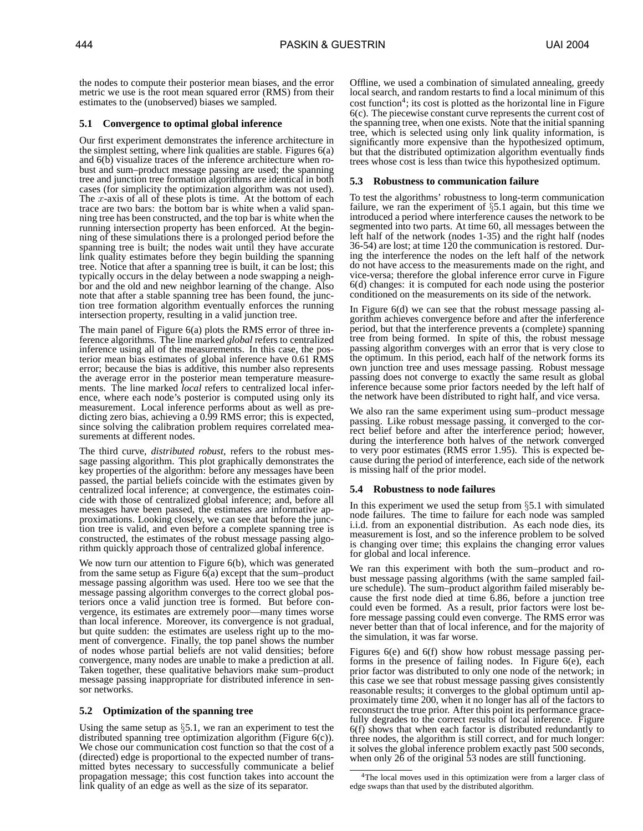the nodes to compute their posterior mean biases, and the error metric we use is the root mean squared error (RMS) from their estimates to the (unobserved) biases we sampled.

## **5.1 Convergence to optimal global inference**

Our first experiment demonstrates the inference architecture in the simplest setting, where link qualities are stable. Figures 6(a) and  $6(b)$  visualize traces of the inference architecture when robust and sum–product message passing are used; the spanning tree and junction tree formation algorithms are identical in both cases (for simplicity the optimization algorithm was not used). The x-axis of all of these plots is time. At the bottom of each trace are two bars: the bottom bar is white when a valid spanning tree has been constructed, and the top bar is white when the running intersection property has been enforced. At the beginning of these simulations there is a prolonged period before the spanning tree is built; the nodes wait until they have accurate link quality estimates before they begin building the spanning tree. Notice that after a spanning tree is built, it can be lost; this typically occurs in the delay between a node swapping a neighbor and the old and new neighbor learning of the change. Also note that after a stable spanning tree has been found, the junction tree formation algorithm eventually enforces the running intersection property, resulting in a valid junction tree.

The main panel of Figure 6(a) plots the RMS error of three inference algorithms. The line marked *global* refers to centralized inference using all of the measurements. In this case, the posterior mean bias estimates of global inference have 0.61 RMS error; because the bias is additive, this number also represents the average error in the posterior mean temperature measurements. The line marked *local* refers to centralized local inference, where each node's posterior is computed using only its measurement. Local inference performs about as well as predicting zero bias, achieving a 0.99 RMS error; this is expected, since solving the calibration problem requires correlated measurements at different nodes.

The third curve, *distributed robust*, refers to the robust message passing algorithm. This plot graphically demonstrates the key properties of the algorithm: before any messages have been passed, the partial beliefs coincide with the estimates given by centralized local inference; at convergence, the estimates coincide with those of centralized global inference; and, before all messages have been passed, the estimates are informative approximations. Looking closely, we can see that before the junction tree is valid, and even before a complete spanning tree is constructed, the estimates of the robust message passing algorithm quickly approach those of centralized global inference.

We now turn our attention to Figure 6(b), which was generated from the same setup as Figure  $6(a)$  except that the sum–product message passing algorithm was used. Here too we see that the message passing algorithm converges to the correct global posteriors once a valid junction tree is formed. But before convergence, its estimates are extremely poor—many times worse than local inference. Moreover, its convergence is not gradual, but quite sudden: the estimates are useless right up to the moment of convergence. Finally, the top panel shows the number of nodes whose partial beliefs are not valid densities; before convergence, many nodes are unable to make a prediction at all. Taken together, these qualitative behaviors make sum–product message passing inappropriate for distributed inference in sensor networks.

## **5.2 Optimization of the spanning tree**

Using the same setup as  $\S$ 5.1, we ran an experiment to test the distributed spanning tree optimization algorithm (Figure 6(c)). We chose our communication cost function so that the cost of a (directed) edge is proportional to the expected number of transmitted bytes necessary to successfully communicate a belief propagation message; this cost function takes into account the link quality of an edge as well as the size of its separator.

Offline, we used a combination of simulated annealing, greedy local search, and random restarts to find a local minimum of this cost function<sup>4</sup>; its cost is plotted as the horizontal line in Figure 6(c). The piecewise constant curve represents the current cost of the spanning tree, when one exists. Note that the initial spanning tree, which is selected using only link quality information, is significantly more expensive than the hypothesized optimum, but that the distributed optimization algorithm eventually finds trees whose cost is less than twice this hypothesized optimum.

## **5.3 Robustness to communication failure**

To test the algorithms' robustness to long-term communication failure, we ran the experiment of  $\S$ 5.1 again, but this time we introduced a period where interference causes the network to be segmented into two parts. At time 60, all messages between the left half of the network (nodes 1-35) and the right half (nodes 36-54) are lost; at time 120 the communication is restored. During the interference the nodes on the left half of the network do not have access to the measurements made on the right, and vice-versa; therefore the global inference error curve in Figure 6(d) changes: it is computed for each node using the posterior conditioned on the measurements on its side of the network.

In Figure 6(d) we can see that the robust message passing algorithm achieves convergence before and after the inferference period, but that the interference prevents a (complete) spanning tree from being formed. In spite of this, the robust message passing algorithm converges with an error that is very close to the optimum. In this period, each half of the network forms its own junction tree and uses message passing. Robust message passing does not converge to exactly the same result as global inference because some prior factors needed by the left half of the network have been distributed to right half, and vice versa.

We also ran the same experiment using sum–product message passing. Like robust message passing, it converged to the correct belief before and after the interference period; however, during the interference both halves of the network converged to very poor estimates (RMS error 1.95). This is expected because during the period of interference, each side of the network is missing half of the prior model.

## **5.4 Robustness to node failures**

In this experiment we used the setup from  $\S$ 5.1 with simulated node failures. The time to failure for each node was sampled i.i.d. from an exponential distribution. As each node dies, its measurement is lost, and so the inference problem to be solved is changing over time; this explains the changing error values for global and local inference.

We ran this experiment with both the sum–product and robust message passing algorithms (with the same sampled failure schedule). The sum–product algorithm failed miserably because the first node died at time 6.86, before a junction tree could even be formed. As a result, prior factors were lost before message passing could even converge. The RMS error was never better than that of local inference, and for the majority of the simulation, it was far worse.

Figures 6(e) and 6(f) show how robust message passing performs in the presence of failing nodes. In Figure 6(e), each prior factor was distributed to only one node of the network; in this case we see that robust message passing gives consistently reasonable results; it converges to the global optimum until approximately time 200, when it no longer has all of the factors to reconstruct the true prior. After this point its performance gracefully degrades to the correct results of local inference. Figure 6(f) shows that when each factor is distributed redundantly to three nodes, the algorithm is still correct, and for much longer: it solves the global inference problem exactly past 500 seconds, when only 26 of the original 53 nodes are still functioning.

<sup>4</sup>The local moves used in this optimization were from a larger class of edge swaps than that used by the distributed algorithm.